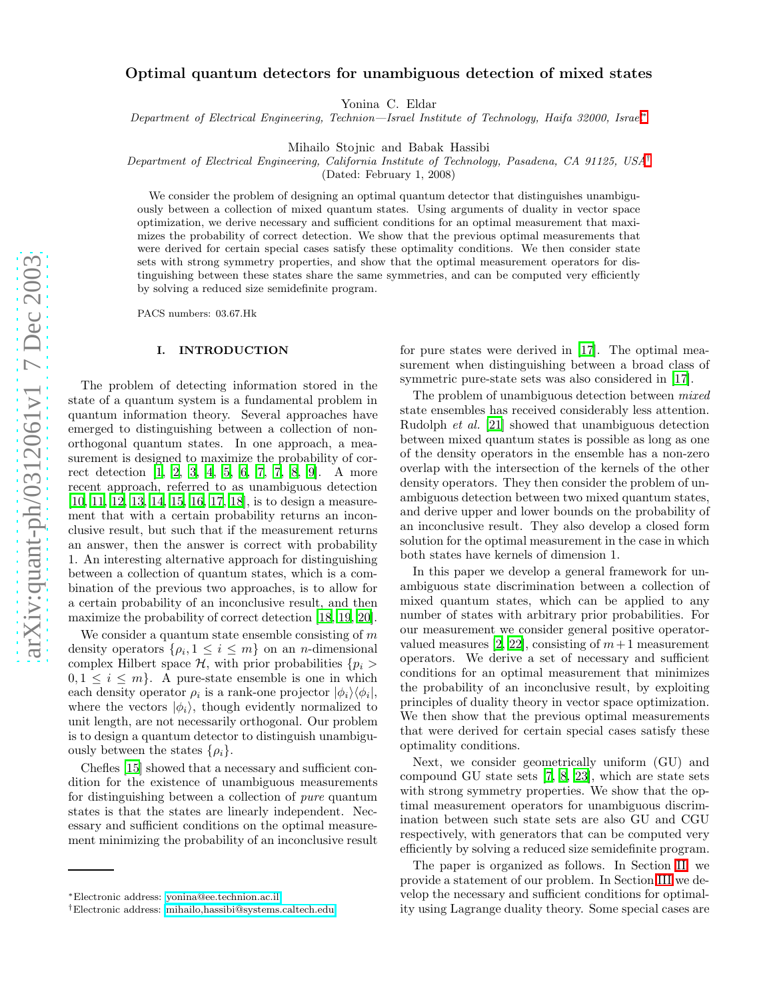# Optimal quantum detectors for unambiguous detection of mixed states

Yonina C. Eldar

Department of Electrical Engineering, Technion—Israel Institute of Technology, Haifa 32000, Israel\*

Mihailo Stojnic and Babak Hassibi

Department of Electrical Engineering, California Institute of Technology, Pasadena, CA 91125, USA [†](#page-0-1)

(Dated: February 1, 2008)

We consider the problem of designing an optimal quantum detector that distinguishes unambiguously between a collection of mixed quantum states. Using arguments of duality in vector space optimization, we derive necessary and sufficient conditions for an optimal measurement that maximizes the probability of correct detection. We show that the previous optimal measurements that were derived for certain special cases satisfy these optimality conditions. We then consider state sets with strong symmetry properties, and show that the optimal measurement operators for distinguishing between these states share the same symmetries, and can be computed very efficiently by solving a reduced size semidefinite program.

PACS numbers: 03.67.Hk

#### I. INTRODUCTION

The problem of detecting information stored in the state of a quantum system is a fundamental problem in quantum information theory. Several approaches have emerged to distinguishing between a collection of nonorthogonal quantum states. In one approach, a measurement is designed to maximize the probability of correct detection [\[1,](#page-7-0) [2,](#page-7-1) [3,](#page-7-2) [4,](#page-8-0) [5](#page-8-1), [6,](#page-8-2) [7](#page-8-3), [7](#page-8-3), [8,](#page-8-4) [9](#page-8-5)]. A more recent approach, referred to as unambiguous detection [\[10,](#page-8-6) [11,](#page-8-7) [12](#page-8-8), [13,](#page-8-9) [14,](#page-8-10) [15](#page-8-11), [16](#page-8-12), [17,](#page-8-13) [18\]](#page-8-14), is to design a measurement that with a certain probability returns an inconclusive result, but such that if the measurement returns an answer, then the answer is correct with probability 1. An interesting alternative approach for distinguishing between a collection of quantum states, which is a combination of the previous two approaches, is to allow for a certain probability of an inconclusive result, and then maximize the probability of correct detection [\[18,](#page-8-14) [19](#page-8-15), [20\]](#page-8-16).

We consider a quantum state ensemble consisting of  $m$ density operators  $\{\rho_i, 1 \leq i \leq m\}$  on an *n*-dimensional complex Hilbert space  $\mathcal{H}$ , with prior probabilities  $\{p_i > \}$  $0, 1 \leq i \leq m$ . A pure-state ensemble is one in which each density operator  $\rho_i$  is a rank-one projector  $|\phi_i\rangle \langle \phi_i|$ , where the vectors  $|\phi_i\rangle$ , though evidently normalized to unit length, are not necessarily orthogonal. Our problem is to design a quantum detector to distinguish unambiguously between the states  $\{\rho_i\}.$ 

Chefles [\[15](#page-8-11)] showed that a necessary and sufficient condition for the existence of unambiguous measurements for distinguishing between a collection of pure quantum states is that the states are linearly independent. Necessary and sufficient conditions on the optimal measurement minimizing the probability of an inconclusive result

for pure states were derived in [\[17](#page-8-13)]. The optimal measurement when distinguishing between a broad class of symmetric pure-state sets was also considered in [\[17\]](#page-8-13).

The problem of unambiguous detection between  $mixed$ state ensembles has received considerably less attention. Rudolph et al. [\[21\]](#page-8-17) showed that unambiguous detection between mixed quantum states is possible as long as one of the density operators in the ensemble has a non-zero overlap with the intersection of the kernels of the other density operators. They then consider the problem of unambiguous detection between two mixed quantum states, and derive upper and lower bounds on the probability of an inconclusive result. They also develop a closed form solution for the optimal measurement in the case in which both states have kernels of dimension 1.

In this paper we develop a general framework for unambiguous state discrimination between a collection of mixed quantum states, which can be applied to any number of states with arbitrary prior probabilities. For our measurement we consider general positive operator-valued measures [\[2,](#page-7-1) [22\]](#page-8-18), consisting of  $m+1$  measurement operators. We derive a set of necessary and sufficient conditions for an optimal measurement that minimizes the probability of an inconclusive result, by exploiting principles of duality theory in vector space optimization. We then show that the previous optimal measurements that were derived for certain special cases satisfy these optimality conditions.

Next, we consider geometrically uniform (GU) and compound GU state sets [\[7,](#page-8-3) [8](#page-8-4), [23\]](#page-8-19), which are state sets with strong symmetry properties. We show that the optimal measurement operators for unambiguous discrimination between such state sets are also GU and CGU respectively, with generators that can be computed very efficiently by solving a reduced size semidefinite program.

The paper is organized as follows. In Section [II,](#page-1-0) we provide a statement of our problem. In Section [III](#page-2-0) we develop the necessary and sufficient conditions for optimality using Lagrange duality theory. Some special cases are

<span id="page-0-0"></span><sup>∗</sup>Electronic address: [yonina@ee.technion.ac.il](mailto:yonina@ee.technion.ac.il)

<span id="page-0-1"></span><sup>†</sup>Electronic address: [mihailo,hassibi@systems.caltech.edu](mailto:{mihailo,hassibi}@systems.caltech.edu)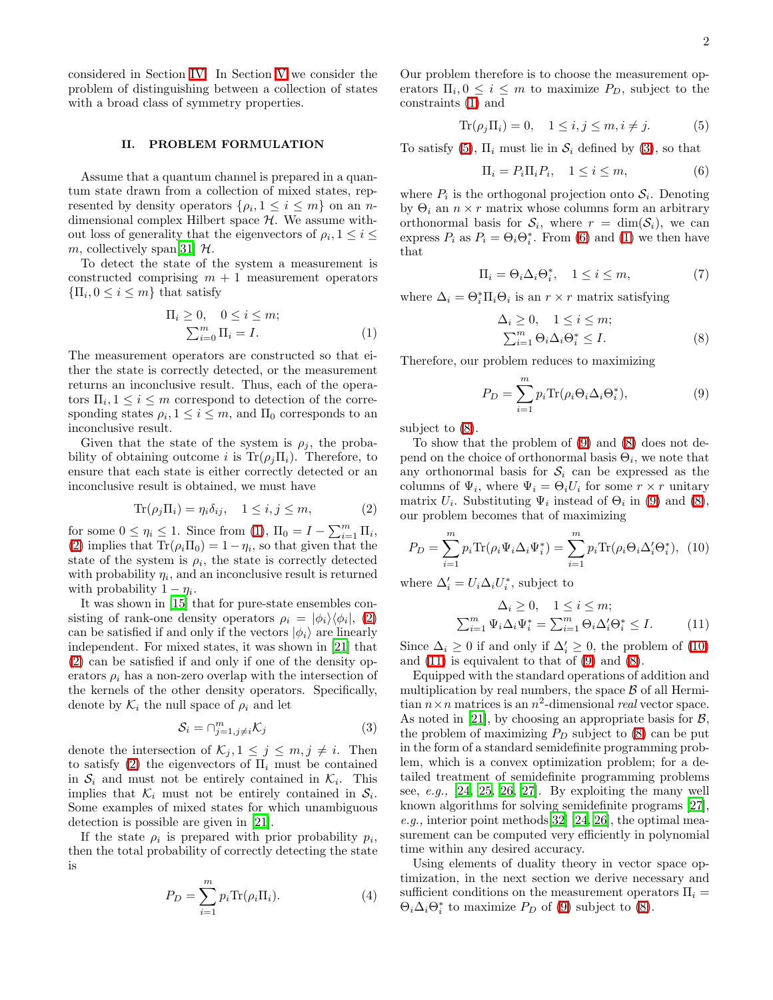considered in Section [IV.](#page-3-0) In Section [V](#page-4-0) we consider the problem of distinguishing between a collection of states with a broad class of symmetry properties.

# II. PROBLEM FORMULATION

<span id="page-1-0"></span>Assume that a quantum channel is prepared in a quantum state drawn from a collection of mixed states, represented by density operators  $\{\rho_i, 1 \leq i \leq m\}$  on an ndimensional complex Hilbert space  $H$ . We assume without loss of generality that the eigenvectors of  $\rho_i$ ,  $1 \leq i \leq$ m, collectively span[\[31\]](#page-8-20)  $H$ .

To detect the state of the system a measurement is constructed comprising  $m + 1$  measurement operators  $\{\Pi_i, 0 \leq i \leq m\}$  that satisfy

$$
\Pi_i \ge 0, \quad 0 \le i \le m;
$$
  

$$
\sum_{i=0}^m \Pi_i = I.
$$
 (1)

<span id="page-1-1"></span>The measurement operators are constructed so that either the state is correctly detected, or the measurement returns an inconclusive result. Thus, each of the operators  $\Pi_i, 1 \leq i \leq m$  correspond to detection of the corresponding states  $\rho_i, 1 \leq i \leq m$ , and  $\Pi_0$  corresponds to an inconclusive result.

Given that the state of the system is  $\rho_j$ , the probability of obtaining outcome i is  $\text{Tr}(\rho_j \Pi_i)$ . Therefore, to ensure that each state is either correctly detected or an inconclusive result is obtained, we must have

<span id="page-1-2"></span>
$$
\text{Tr}(\rho_j \Pi_i) = \eta_i \delta_{ij}, \quad 1 \le i, j \le m,
$$
 (2)

for some  $0 \leq \eta_i \leq 1$ . Since from [\(1\)](#page-1-1),  $\Pi_0 = I - \sum_{i=1}^m \Pi_i$ , [\(2\)](#page-1-2) implies that  $\text{Tr}(\rho_i \Pi_0) = 1 - \eta_i$ , so that given that the state of the system is  $\rho_i$ , the state is correctly detected with probability  $\eta_i$ , and an inconclusive result is returned with probability  $1 - \eta_i$ .

It was shown in [\[15\]](#page-8-11) that for pure-state ensembles consisting of rank-one density operators  $\rho_i = |\phi_i\rangle \langle \phi_i|, (2)$  $\rho_i = |\phi_i\rangle \langle \phi_i|, (2)$ can be satisfied if and only if the vectors  $|\phi_i\rangle$  are linearly independent. For mixed states, it was shown in [\[21\]](#page-8-17) that [\(2\)](#page-1-2) can be satisfied if and only if one of the density operators  $\rho_i$  has a non-zero overlap with the intersection of the kernels of the other density operators. Specifically, denote by  $\mathcal{K}_i$  the null space of  $\rho_i$  and let

<span id="page-1-4"></span>
$$
\mathcal{S}_i = \bigcap_{j=1, j \neq i}^m \mathcal{K}_j \tag{3}
$$

denote the intersection of  $\mathcal{K}_j, 1 \leq j \leq m, j \neq i$ . Then to satisfy [\(2\)](#page-1-2) the eigenvectors of  $\Pi_i$  must be contained in  $S_i$  and must not be entirely contained in  $\mathcal{K}_i$ . This implies that  $\mathcal{K}_i$  must not be entirely contained in  $\mathcal{S}_i$ . Some examples of mixed states for which unambiguous detection is possible are given in [\[21\]](#page-8-17).

If the state  $\rho_i$  is prepared with prior probability  $p_i$ , then the total probability of correctly detecting the state is

$$
P_D = \sum_{i=1}^{m} p_i \text{Tr}(\rho_i \Pi_i). \tag{4}
$$

<span id="page-1-3"></span>Our problem therefore is to choose the measurement operators  $\Pi_i, 0 \leq i \leq m$  to maximize  $P_D$ , subject to the constraints [\(1\)](#page-1-1) and

$$
\text{Tr}(\rho_j \Pi_i) = 0, \quad 1 \le i, j \le m, i \ne j. \tag{5}
$$

To satisfy [\(5\)](#page-1-3),  $\Pi_i$  must lie in  $S_i$  defined by [\(3\)](#page-1-4), so that

<span id="page-1-5"></span>
$$
\Pi_i = P_i \Pi_i P_i, \quad 1 \le i \le m,
$$
\n(6)

where  $P_i$  is the orthogonal projection onto  $S_i$ . Denoting by  $\Theta_i$  an  $n \times r$  matrix whose columns form an arbitrary orthonormal basis for  $S_i$ , where  $r = \dim(S_i)$ , we can express  $P_i$  as  $P_i = \Theta_i \Theta_i^*$ . From [\(6\)](#page-1-5) and [\(1\)](#page-1-1) we then have that

$$
\Pi_i = \Theta_i \Delta_i \Theta_i^*, \quad 1 \le i \le m,
$$
\n(7)

<span id="page-1-6"></span>where  $\Delta_i = \Theta_i^* \Pi_i \Theta_i$  is an  $r \times r$  matrix satisfying

<span id="page-1-7"></span>
$$
\Delta_i \ge 0, \quad 1 \le i \le m; \sum_{i=1}^m \Theta_i \Delta_i \Theta_i^* \le I.
$$
\n(8)

Therefore, our problem reduces to maximizing

<span id="page-1-8"></span>
$$
P_D = \sum_{i=1}^{m} p_i \text{Tr}(\rho_i \Theta_i \Delta_i \Theta_i^*), \tag{9}
$$

subject to [\(8\)](#page-1-6).

To show that the problem of [\(9\)](#page-1-7) and [\(8\)](#page-1-6) does not depend on the choice of orthonormal basis  $\Theta_i$ , we note that any orthonormal basis for  $S_i$  can be expressed as the columns of  $\Psi_i$ , where  $\Psi_i = \Theta_i U_i$  for some  $r \times r$  unitary matrix  $U_i$ . Substituting  $\Psi_i$  instead of  $\Theta_i$  in [\(9\)](#page-1-7) and [\(8\)](#page-1-6), our problem becomes that of maximizing

$$
P_D = \sum_{i=1}^{m} p_i \text{Tr}(\rho_i \Psi_i \Delta_i \Psi_i^*) = \sum_{i=1}^{m} p_i \text{Tr}(\rho_i \Theta_i \Delta_i^{\prime} \Theta_i^*), \tag{10}
$$

<span id="page-1-9"></span>where  $\Delta'_i = U_i \Delta_i U_i^*$ , subject to

$$
\Delta_i \ge 0, \quad 1 \le i \le m;
$$
  

$$
\sum_{i=1}^m \Psi_i \Delta_i \Psi_i^* = \sum_{i=1}^m \Theta_i \Delta_i' \Theta_i^* \le I.
$$
 (11)

Since  $\Delta_i \geq 0$  if and only if  $\Delta'_i \geq 0$ , the problem of [\(10\)](#page-1-8) and [\(11\)](#page-1-9) is equivalent to that of [\(9\)](#page-1-7) and [\(8\)](#page-1-6).

Equipped with the standard operations of addition and multiplication by real numbers, the space  $\beta$  of all Hermitian  $n \times n$  matrices is an  $n^2$ -dimensional *real* vector space. As noted in [\[21](#page-8-17)], by choosing an appropriate basis for  $\mathcal{B}$ , the problem of maximizing  $P_D$  subject to  $(8)$  can be put in the form of a standard semidefinite programming problem, which is a convex optimization problem; for a detailed treatment of semidefinite programming problems see,  $e.g., [24, 25, 26, 27].$  $e.g., [24, 25, 26, 27].$  $e.g., [24, 25, 26, 27].$  $e.g., [24, 25, 26, 27].$  $e.g., [24, 25, 26, 27].$  $e.g., [24, 25, 26, 27].$  $e.g., [24, 25, 26, 27].$  By exploiting the many well known algorithms for solving semidefinite programs [\[27\]](#page-8-24), e.g., interior point methods[\[32\]](#page-8-25) [\[24,](#page-8-21) [26\]](#page-8-23), the optimal measurement can be computed very efficiently in polynomial time within any desired accuracy.

Using elements of duality theory in vector space optimization, in the next section we derive necessary and sufficient conditions on the measurement operators  $\Pi_i =$  $\Theta_i \Delta_i \Theta_i^*$  to maximize  $P_D$  of [\(9\)](#page-1-7) subject to [\(8\)](#page-1-6).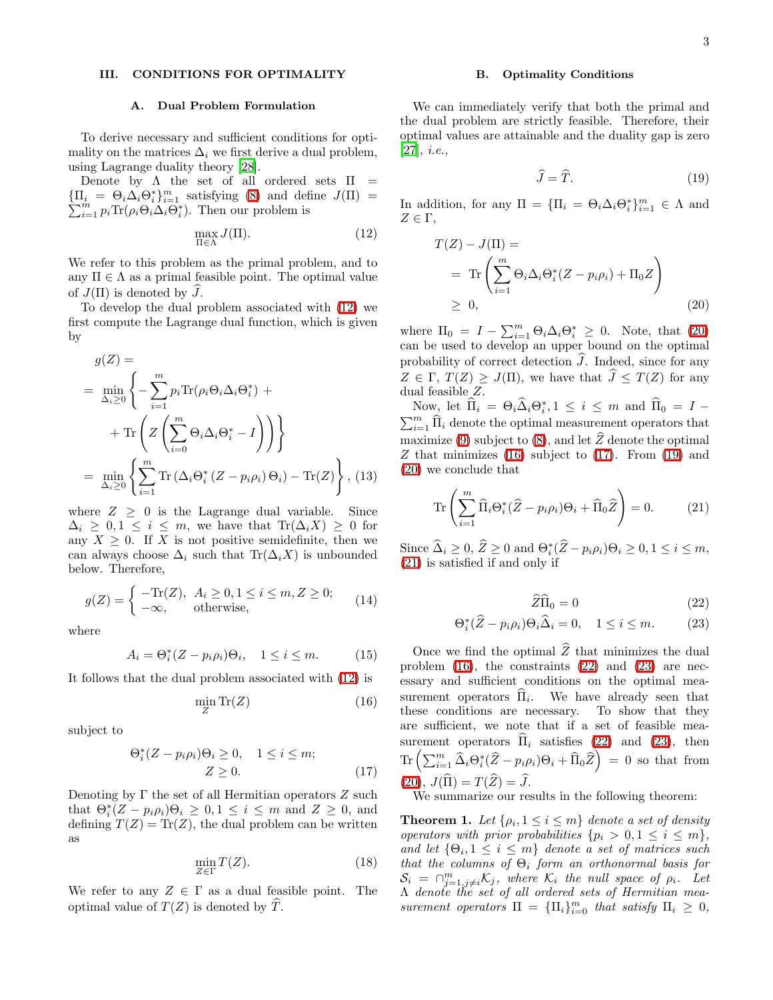# <span id="page-2-0"></span>III. CONDITIONS FOR OPTIMALITY

#### A. Dual Problem Formulation

To derive necessary and sufficient conditions for optimality on the matrices  $\Delta_i$  we first derive a dual problem, using Lagrange duality theory [\[28](#page-8-26)].

Denote by  $\Lambda$  the set of all ordered sets  $\Pi$  =  $\{\Pi_i = \Theta_i \Delta_i \Theta_i^*\}_{i=1}^m$  satisfying [\(8\)](#page-1-6) and define  $J(\Pi)$  =  $\sum_{i=1}^{m} p_i \text{Tr}(\rho_i \Theta_i \Delta_i \overline{\Theta_i^*})$ . Then our problem is

<span id="page-2-1"></span>
$$
\max_{\Pi \in \Lambda} J(\Pi). \tag{12}
$$

We refer to this problem as the primal problem, and to any  $\Pi \in \Lambda$  as a primal feasible point. The optimal value of  $J(\Pi)$  is denoted by J.

To develop the dual problem associated with [\(12\)](#page-2-1) we first compute the Lagrange dual function, which is given by

$$
g(Z) = \min_{\Delta_i \ge 0} \left\{ -\sum_{i=1}^m p_i \text{Tr}(\rho_i \Theta_i \Delta_i \Theta_i^*) + \right\}
$$

$$
+ \text{Tr}\left(Z\left(\sum_{i=0}^m \Theta_i \Delta_i \Theta_i^* - I\right)\right) \right\}
$$

$$
= \min_{\Delta_i \ge 0} \left\{\sum_{i=1}^m \text{Tr}\left(\Delta_i \Theta_i^*(Z - p_i \rho_i) \Theta_i\right) - \text{Tr}(Z)\right\}, (13)
$$

where  $Z \geq 0$  is the Lagrange dual variable. Since  $\Delta_i \geq 0, 1 \leq i \leq m$ , we have that  $\text{Tr}(\Delta_i X) \geq 0$  for any  $X \geq 0$ . If X is not positive semidefinite, then we can always choose  $\Delta_i$  such that Tr( $\Delta_i X$ ) is unbounded below. Therefore,

$$
g(Z) = \begin{cases} -\text{Tr}(Z), & A_i \ge 0, 1 \le i \le m, Z \ge 0; \\ -\infty, & \text{otherwise}, \end{cases}
$$
(14)

where

$$
A_i = \Theta_i^*(Z - p_i \rho_i)\Theta_i, \quad 1 \le i \le m. \tag{15}
$$

It follows that the dual problem associated with [\(12\)](#page-2-1) is

<span id="page-2-3"></span>
$$
\min_{Z} \text{Tr}(Z) \tag{16}
$$

<span id="page-2-4"></span>subject to

$$
\Theta_i^*(Z - p_i \rho_i) \Theta_i \ge 0, \quad 1 \le i \le m; Z \ge 0.
$$
 (17)

Denoting by  $\Gamma$  the set of all Hermitian operators  $Z$  such that  $\Theta_i^*(Z - p_i \rho_i) \Theta_i \geq 0, 1 \leq i \leq m$  and  $Z \geq 0$ , and defining  $T(Z) = \text{Tr}(Z)$ , the dual problem can be written as

$$
\min_{Z \in \Gamma} T(Z). \tag{18}
$$

We refer to any  $Z \in \Gamma$  as a dual feasible point. The optimal value of  $T(Z)$  is denoted by T.

#### B. Optimality Conditions

<span id="page-2-5"></span>We can immediately verify that both the primal and the dual problem are strictly feasible. Therefore, their optimal values are attainable and the duality gap is zero  $[27], i.e.,$  $[27], i.e.,$ 

$$
\widehat{J} = \widehat{T}.\tag{19}
$$

<span id="page-2-2"></span>In addition, for any  $\Pi = {\Pi_i = \Theta_i \Delta_i \Theta_i^* }_{i=1}^m \in \Lambda$  and  $Z \in \Gamma$ ,

$$
T(Z) - J(\Pi) =
$$
  
= Tr  $\left( \sum_{i=1}^{m} \Theta_i \Delta_i \Theta_i^* (Z - p_i \rho_i) + \Pi_0 Z \right)$   
 $\geq 0,$  (20)

where  $\Pi_0 = I - \sum_{i=1}^m \Theta_i \Delta_i \Theta_i^* \geq 0$ . Note, that [\(20\)](#page-2-2) can be used to develop an upper bound on the optimal probability of correct detection  $\hat{J}$ . Indeed, since for any  $Z \in \Gamma$ ,  $T(Z) > J(\Pi)$ , we have that  $\widehat{J} \leq T(Z)$  for any dual feasible Z.

Now, let  $\hat{\Pi}_i = \Theta_i \hat{\Delta}_i \Theta_i^*$ Now, let  $\Pi_i = \Theta_i \Delta_i \Theta_i^*$ ,  $1 \leq i \leq m$  and  $\Pi_0 = I - \sum_{i=1}^m \widehat{\Pi}_i$  denote the optimal measurement operators that maximize [\(9\)](#page-1-7) subject to [\(8\)](#page-1-6), and let  $\hat{Z}$  denote the optimal Z that minimizes  $(16)$  subject to  $(17)$ . From  $(19)$  and [\(20\)](#page-2-2) we conclude that

<span id="page-2-6"></span>
$$
\operatorname{Tr}\left(\sum_{i=1}^{m}\widehat{\Pi}_{i}\Theta_{i}^{*}(\widehat{Z}-p_{i}\rho_{i})\Theta_{i}+\widehat{\Pi}_{0}\widehat{Z}\right)=0.\tag{21}
$$

Since  $\widehat{\Delta}_i \geq 0$ ,  $\widehat{Z} \geq 0$  and  $\Theta_i^*(\widehat{Z} - p_i \rho_i) \Theta_i \geq 0, 1 \leq i \leq m$ , [\(21\)](#page-2-6) is satisfied if and only if

$$
\widehat{Z}\widehat{\Pi}_0 = 0\tag{22}
$$

$$
\Theta_i^*(\widehat{Z} - p_i \rho_i) \Theta_i \widehat{\Delta}_i = 0, \quad 1 \le i \le m. \tag{23}
$$

<span id="page-2-7"></span>Once we find the optimal  $\widehat{Z}$  that minimizes the dual problem  $(16)$ , the constraints  $(22)$  and  $(23)$  are necessary and sufficient conditions on the optimal measurement operators  $\Pi_i$ . We have already seen that these conditions are necessary. To show that they are sufficient, we note that if a set of feasible measurement operators  $\Pi_i$  satisfies [\(22\)](#page-2-7) and [\(23\)](#page-2-7), then  $\text{Tr}\left(\sum_{i=1}^m\widehat{\Delta}_i\Theta_i^*(\widehat{Z}-p_i\rho_i)\Theta_i+\widehat{\Pi}_0\widehat{Z}\right) \;=\; 0 \;\text{ so that from}$  $(20), J(\widehat{\Pi}) = T(\widehat{Z}) = \widehat{J}.$  $(20), J(\widehat{\Pi}) = T(\widehat{Z}) = \widehat{J}.$ 

We summarize our results in the following theorem:

<span id="page-2-8"></span>**Theorem 1.** Let  $\{\rho_i, 1 \leq i \leq m\}$  denote a set of density operators with prior probabilities  $\{p_i > 0, 1 \leq i \leq m\},\$ and let  $\{\Theta_i, 1 \leq i \leq m\}$  denote a set of matrices such that the columns of  $\Theta_i$  form an orthonormal basis for  $S_i = \bigcap_{j=1, j\neq i}^m \mathcal{K}_j$ , where  $\mathcal{K}_i$  the null space of  $\rho_i$ . Let Λ denote the set of all ordered sets of Hermitian measurement operators  $\Pi = {\Pi_i}_{i=0}^m$  that satisfy  $\Pi_i \geq 0$ ,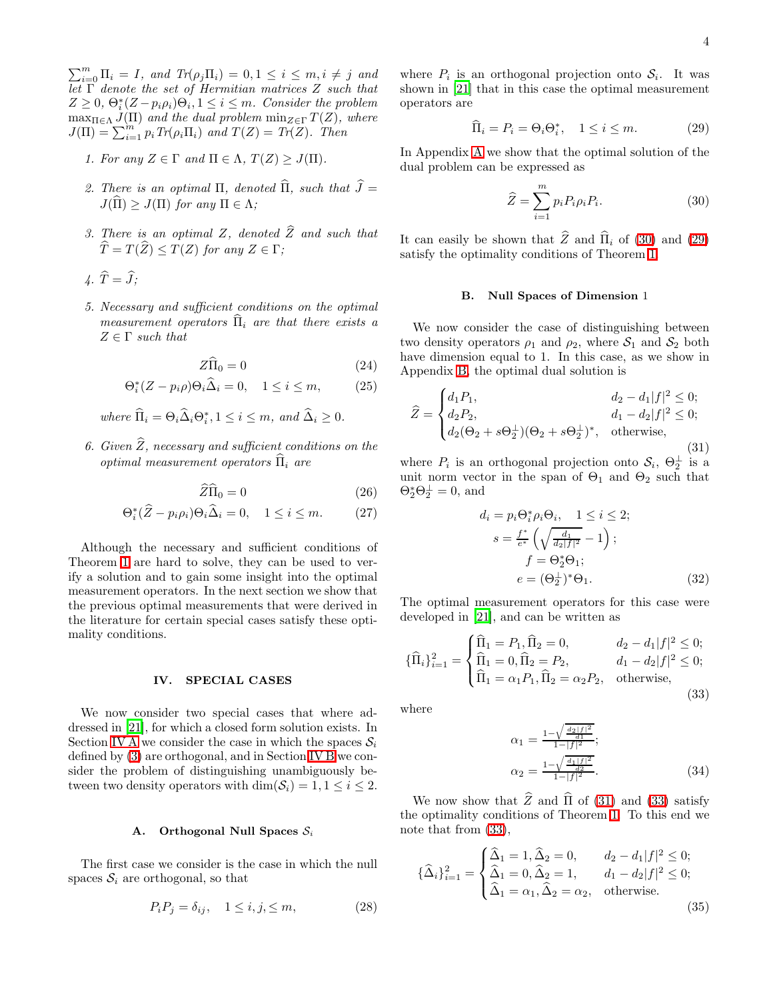$\sum_{i=0}^{m} \Pi_i = I$ , and  $Tr(\rho_j \Pi_i) = 0, 1 \leq i \leq m, i \neq j$  and Let  $\Gamma$  denote the set of Hermitian matrices Z such that  $Z \geq 0, \ \Theta_i^*(Z - p_i \rho_i) \Theta_i, 1 \leq i \leq m.$  Consider the problem  $\max_{\Pi \in \Lambda} J(\Pi)$  and the dual problem  $\min_{Z \in \Gamma} T(Z)$ , where  $J(\Pi) = \sum_{i=1}^{m} p_i Tr(\rho_i \Pi_i)$  and  $T(Z) = Tr(Z)$ . Then

- 1. For any  $Z \in \Gamma$  and  $\Pi \in \Lambda$ ,  $T(Z) \geq J(\Pi)$ .
- 2. There is an optimal  $\Pi$ , denoted  $\widehat{\Pi}$ , such that  $\widehat{J} =$  $J(\hat{\Pi}) > J(\Pi)$  for any  $\Pi \in \Lambda$ ;
- 3. There is an optimal Z, denoted  $\widehat{Z}$  and such that  $\widehat{T} = T(\widehat{Z}) \leq T(Z)$  for any  $Z \in \Gamma$ ;
- $\hat{T} = \hat{J}$ ;
- 5. Necessary and sufficient conditions on the optimal measurement operators  $\hat{\Pi}_i$  are that there exists a  $Z \in \Gamma$  such that

$$
Z\widehat{\Pi}_0 = 0 \tag{24}
$$

$$
\Theta_i^*(Z - p_i \rho) \Theta_i \widehat{\Delta}_i = 0, \quad 1 \le i \le m,
$$
 (25)

where  $\widehat{\Pi}_i = \Theta_i \widehat{\Delta}_i \Theta_i^*, 1 \leq i \leq m$ , and  $\widehat{\Delta}_i \geq 0$ .

6. Given  $\widehat{Z}$ , necessary and sufficient conditions on the optimal measurement operators  $\hat{\Pi}_i$  are

$$
\widehat{Z}\widehat{\Pi}_0 = 0 \tag{26}
$$

$$
\Theta_i^*(\widehat{Z} - p_i \rho_i) \Theta_i \widehat{\Delta}_i = 0, \quad 1 \le i \le m. \tag{27}
$$

Although the necessary and sufficient conditions of Theorem [1](#page-2-8) are hard to solve, they can be used to verify a solution and to gain some insight into the optimal measurement operators. In the next section we show that the previous optimal measurements that were derived in the literature for certain special cases satisfy these optimality conditions.

IV. SPECIAL CASES

<span id="page-3-0"></span>We now consider two special cases that where addressed in [\[21\]](#page-8-17), for which a closed form solution exists. In Section [IV A](#page-3-1) we consider the case in which the spaces  $S_i$ defined by [\(3\)](#page-1-4) are orthogonal, and in Section [IV B](#page-3-2) we consider the problem of distinguishing unambiguously between two density operators with  $\dim(\mathcal{S}_i) = 1, 1 \leq i \leq 2$ .

# A. Orthogonal Null Spaces  $S_i$

<span id="page-3-1"></span>The first case we consider is the case in which the null spaces  $S_i$  are orthogonal, so that

$$
P_i P_j = \delta_{ij}, \quad 1 \le i, j, \le m,
$$
\n<sup>(28)</sup>

<span id="page-3-4"></span>where  $P_i$  is an orthogonal projection onto  $S_i$ . It was shown in [\[21\]](#page-8-17) that in this case the optimal measurement operators are

<span id="page-3-3"></span>
$$
\widehat{\Pi}_i = P_i = \Theta_i \Theta_i^*, \quad 1 \le i \le m. \tag{29}
$$

In Appendix [A](#page-6-0) we show that the optimal solution of the dual problem can be expressed as

$$
\widehat{Z} = \sum_{i=1}^{m} p_i P_i \rho_i P_i.
$$
\n(30)

<span id="page-3-2"></span>It can easily be shown that  $\widehat{Z}$  and  $\widehat{\Pi}_i$  of [\(30\)](#page-3-3) and [\(29\)](#page-3-4) satisfy the optimality conditions of Theorem [1.](#page-2-8)

#### <span id="page-3-5"></span>B. Null Spaces of Dimension 1

We now consider the case of distinguishing between two density operators  $\rho_1$  and  $\rho_2$ , where  $S_1$  and  $S_2$  both have dimension equal to 1. In this case, as we show in Appendix [B,](#page-6-1) the optimal dual solution is

$$
\widehat{Z} = \begin{cases}\nd_1 P_1, & d_2 - d_1 |f|^2 \le 0; \\
d_2 P_2, & d_1 - d_2 |f|^2 \le 0; \\
d_2(\Theta_2 + s\Theta_2^{\perp})(\Theta_2 + s\Theta_2^{\perp})^*, & \text{otherwise,} \n\end{cases}
$$
\n(31)

<span id="page-3-8"></span>where  $P_i$  is an orthogonal projection onto  $S_i$ ,  $\Theta_2^{\perp}$  is a unit norm vector in the span of  $\Theta_1$  and  $\Theta_2$  such that  $\Theta_2^* \Theta_2^{\perp} = 0$ , and

<span id="page-3-6"></span>
$$
d_i = p_i \Theta_i^* \rho_i \Theta_i, \quad 1 \le i \le 2; \ns = \frac{f^*}{e^*} \left( \sqrt{\frac{d_1}{d_2 |f|^2}} - 1 \right); \nf = \Theta_2^* \Theta_1; \ne = (\Theta_2^{\perp})^* \Theta_1.
$$
\n(32)

The optimal measurement operators for this case were developed in [\[21\]](#page-8-17), and can be written as

$$
\{\widehat{\Pi}_i\}_{i=1}^2 = \begin{cases}\n\widehat{\Pi}_1 = P_1, \widehat{\Pi}_2 = 0, & d_2 - d_1 |f|^2 \le 0; \\
\widehat{\Pi}_1 = 0, \widehat{\Pi}_2 = P_2, & d_1 - d_2 |f|^2 \le 0; \\
\widehat{\Pi}_1 = \alpha_1 P_1, \widehat{\Pi}_2 = \alpha_2 P_2, & \text{otherwise,} \n\end{cases}
$$
\n(33)

where

$$
\alpha_1 = \frac{1 - \sqrt{\frac{d_2 |f|^2}{d_1}}}{1 - |f|^2};
$$
  
\n
$$
\alpha_2 = \frac{1 - \sqrt{\frac{d_1 |f|^2}{d_2}}}{1 - |f|^2}.
$$
\n(34)

<span id="page-3-7"></span>We now show that  $\hat{Z}$  and  $\hat{\Pi}$  of [\(31\)](#page-3-5) and [\(33\)](#page-3-6) satisfy the optimality conditions of Theorem [1.](#page-2-8) To this end we note that from [\(33\)](#page-3-6),

$$
\{\hat{\Delta}_i\}_{i=1}^2 = \begin{cases}\n\hat{\Delta}_1 = 1, \hat{\Delta}_2 = 0, & d_2 - d_1 |f|^2 \le 0; \\
\hat{\Delta}_1 = 0, \hat{\Delta}_2 = 1, & d_1 - d_2 |f|^2 \le 0; \\
\hat{\Delta}_1 = \alpha_1, \hat{\Delta}_2 = \alpha_2, & \text{otherwise.} \n\end{cases}
$$
\n(35)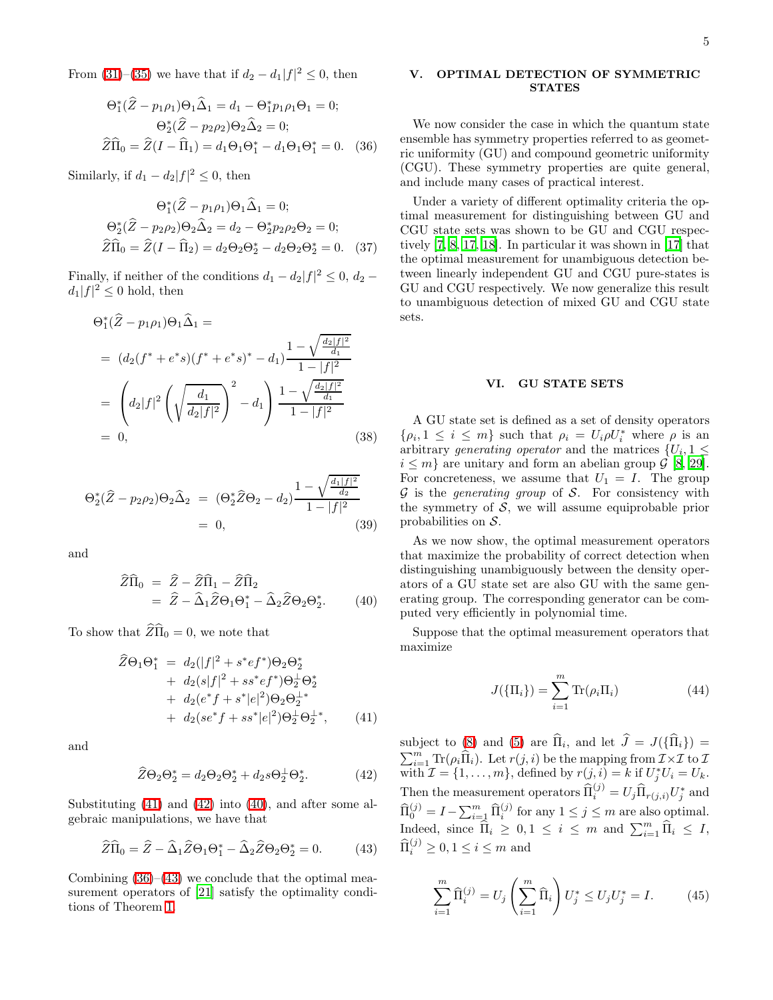<span id="page-4-4"></span>From [\(31\)](#page-3-5)–[\(35\)](#page-3-7) we have that if  $d_2 - d_1 |f|^2 \leq 0$ , then

$$
\Theta_{1}^{*}(\hat{Z} - p_{1}\rho_{1})\Theta_{1}\hat{\Delta}_{1} = d_{1} - \Theta_{1}^{*}p_{1}\rho_{1}\Theta_{1} = 0;
$$

$$
\Theta_{2}^{*}(\hat{Z} - p_{2}\rho_{2})\Theta_{2}\hat{\Delta}_{2} = 0;
$$

$$
\hat{Z}\hat{\Pi}_{0} = \hat{Z}(I - \hat{\Pi}_{1}) = d_{1}\Theta_{1}\Theta_{1}^{*} - d_{1}\Theta_{1}\Theta_{1}^{*} = 0.
$$
 (36)

Similarly, if  $d_1 - d_2 |f|^2 \leq 0$ , then

$$
\Theta_1^*(\hat{Z} - p_1\rho_1)\Theta_1\hat{\Delta}_1 = 0; \n\Theta_2^*(\hat{Z} - p_2\rho_2)\Theta_2\hat{\Delta}_2 = d_2 - \Theta_2^*p_2\rho_2\Theta_2 = 0; \n\hat{Z}\hat{\Pi}_0 = \hat{Z}(I - \hat{\Pi}_2) = d_2\Theta_2\Theta_2^* - d_2\Theta_2\Theta_2^* = 0.
$$
\n(37)

Finally, if neither of the conditions  $d_1 - d_2 |f|^2 \leq 0$ ,  $d_2$  $d_1|f|^2 \leq 0$  hold, then

$$
\Theta_1^*(\hat{Z} - p_1 \rho_1) \Theta_1 \hat{\Delta}_1 =
$$
  
=  $(d_2(f^* + e^*s)(f^* + e^*s)^* - d_1) \frac{1 - \sqrt{\frac{d_2|f|^2}{d_1}}}{1 - |f|^2}$   
=  $\left(d_2|f|^2 \left(\sqrt{\frac{d_1}{d_2|f|^2}}\right)^2 - d_1\right) \frac{1 - \sqrt{\frac{d_2|f|^2}{d_1}}}{1 - |f|^2}$   
= 0, (38)

$$
\Theta_2^*(\hat{Z} - p_2 \rho_2) \Theta_2 \hat{\Delta}_2 = (\Theta_2^* \hat{Z} \Theta_2 - d_2) \frac{1 - \sqrt{\frac{d_1 |f|^2}{d_2}}}{1 - |f|^2}
$$
  
= 0, (39)

<span id="page-4-3"></span>and

$$
\widehat{Z}\widehat{\Pi}_0 = \widehat{Z} - \widehat{Z}\widehat{\Pi}_1 - \widehat{Z}\widehat{\Pi}_2 \n= \widehat{Z} - \widehat{\Delta}_1 \widehat{Z} \Theta_1 \Theta_1^* - \widehat{\Delta}_2 \widehat{Z} \Theta_2 \Theta_2^*.
$$
\n(40)

<span id="page-4-1"></span>To show that  $\widehat{Z}\widehat{\Pi}_0 = 0$ , we note that

$$
\hat{Z}\Theta_1\Theta_1^* = d_2(|f|^2 + s^*e f^*)\Theta_2\Theta_2^*
$$
  
+  $d_2(s|f|^2 + ss^*e f^*)\Theta_2^{\perp}\Theta_2^*$   
+  $d_2(e^*f + s^*|e|^2)\Theta_2\Theta_2^{\perp*}$   
+  $d_2(se^*f + ss^*|e|^2)\Theta_2^{\perp}\Theta_2^{\perp*}$ , (41)

<span id="page-4-2"></span>and

<span id="page-4-5"></span>
$$
\widehat{Z}\Theta_2\Theta_2^* = d_2\Theta_2\Theta_2^* + d_2s\Theta_2^{\perp}\Theta_2^*.
$$
 (42)

Substituting [\(41\)](#page-4-1) and [\(42\)](#page-4-2) into [\(40\)](#page-4-3), and after some algebraic manipulations, we have that

$$
\widehat{Z}\widehat{\Pi}_0 = \widehat{Z} - \widehat{\Delta}_1 \widehat{Z} \Theta_1 \Theta_1^* - \widehat{\Delta}_2 \widehat{Z} \Theta_2 \Theta_2^* = 0.
$$
 (43)

Combining  $(36)$ – $(43)$  we conclude that the optimal measurement operators of [\[21](#page-8-17)] satisfy the optimality conditions of Theorem [1.](#page-2-8)

## <span id="page-4-0"></span>V. OPTIMAL DETECTION OF SYMMETRIC STATES

We now consider the case in which the quantum state ensemble has symmetry properties referred to as geometric uniformity (GU) and compound geometric uniformity (CGU). These symmetry properties are quite general, and include many cases of practical interest.

Under a variety of different optimality criteria the optimal measurement for distinguishing between GU and CGU state sets was shown to be GU and CGU respectively [\[7](#page-8-3), [8,](#page-8-4) [17,](#page-8-13) [18](#page-8-14)]. In particular it was shown in [\[17\]](#page-8-13) that the optimal measurement for unambiguous detection between linearly independent GU and CGU pure-states is GU and CGU respectively. We now generalize this result to unambiguous detection of mixed GU and CGU state sets.

## VI. GU STATE SETS

<span id="page-4-6"></span>A GU state set is defined as a set of density operators  $\{\rho_i, 1 \leq i \leq m\}$  such that  $\rho_i = U_i \rho U_i^*$  where  $\rho$  is an arbitrary generating operator and the matrices  $\{U_i, 1 \leq$  $i \leq m$ } are unitary and form an abelian group  $\mathcal{G}$  [\[8](#page-8-4), [29\]](#page-8-27). For concreteness, we assume that  $U_1 = I$ . The group  $G$  is the *generating group* of  $S$ . For consistency with the symmetry of  $S$ , we will assume equiprobable prior probabilities on S.

As we now show, the optimal measurement operators that maximize the probability of correct detection when distinguishing unambiguously between the density operators of a GU state set are also GU with the same generating group. The corresponding generator can be computed very efficiently in polynomial time.

Suppose that the optimal measurement operators that maximize

$$
J(\{\Pi_i\}) = \sum_{i=1}^{m} \text{Tr}(\rho_i \Pi_i)
$$
 (44)

subject to  $(8)$  and  $(5)$  are  $\Pi_i$ , and let  $J = J({\Pi_i}) =$  $\sum_{i=1}^m \text{Tr}(\rho_i \hat{\Pi}_i)$ . Let  $r(j, i)$  be the mapping from  $\mathcal{I} \times \mathcal{I}$  to  $\mathcal{I}$ with  $\mathcal{I} = \{1, \ldots, m\}$ , defined by  $r(j, i) = k$  if  $U_j^* U_i = U_k$ . Then the measurement operators  $\widehat{\Pi}_i^{(j)} = U_j \widehat{\Pi}_{r(j,i)} U_j^*$  and  $\widehat{\Pi}_{0}^{(j)} = I - \sum_{i=1}^{m} \widehat{\Pi}_{i}^{(j)}$  for any  $1 \leq j \leq m$  are also optimal. Indeed, since  $\widehat{\Pi}_i \geq 0, 1 \leq i \leq m$  and  $\sum_{i=1}^m \widehat{\Pi}_i \leq I$ ,  $\widehat{\Pi}_i^{(j)} \geq 0, 1 \leq i \leq m$  and

$$
\sum_{i=1}^{m} \widehat{\Pi}_{i}^{(j)} = U_{j} \left( \sum_{i=1}^{m} \widehat{\Pi}_{i} \right) U_{j}^{*} \le U_{j} U_{j}^{*} = I.
$$
 (45)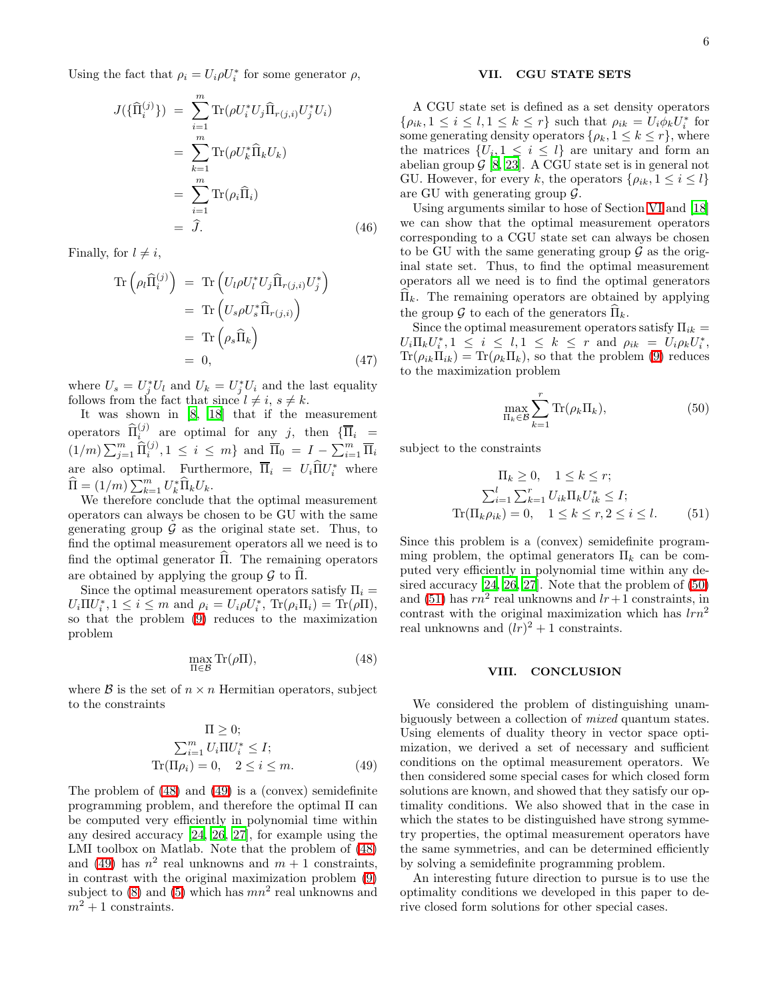Using the fact that  $\rho_i = U_i \rho U_i^*$  for some generator  $\rho$ ,

$$
J(\{\hat{\Pi}_{i}^{(j)}\}) = \sum_{i=1}^{m} \text{Tr}(\rho U_{i}^{*} U_{j} \widehat{\Pi}_{r(j,i)} U_{j}^{*} U_{i})
$$
  
\n
$$
= \sum_{k=1}^{m} \text{Tr}(\rho U_{k}^{*} \widehat{\Pi}_{k} U_{k})
$$
  
\n
$$
= \sum_{i=1}^{m} \text{Tr}(\rho_{i} \widehat{\Pi}_{i})
$$
  
\n
$$
= \widehat{J}. \tag{46}
$$

Finally, for  $l \neq i$ ,

$$
\operatorname{Tr}\left(\rho_l \widehat{\Pi}_i^{(j)}\right) = \operatorname{Tr}\left(U_l \rho U_l^* U_j \widehat{\Pi}_{r(j,i)} U_j^*\right)
$$

$$
= \operatorname{Tr}\left(U_s \rho U_s^* \widehat{\Pi}_{r(j,i)}\right)
$$

$$
= \operatorname{Tr}\left(\rho_s \widehat{\Pi}_k\right)
$$

$$
= 0, \tag{47}
$$

where  $U_s = U_j^* U_l$  and  $U_k = U_j^* U_i$  and the last equality follows from the fact that since  $l \neq i$ ,  $s \neq k$ .

It was shown in [\[8,](#page-8-4) [18\]](#page-8-14) that if the measurement operators  $\widehat{\Pi}_{i}^{(j)}$  are optimal for any j, then  $\{\overline{\Pi}_{i} =$  $(1/m)\sum_{j=1}^m \widehat{\Pi}_i^{(j)}, 1 \leq i \leq m$ } and  $\overline{\Pi}_0 = I - \sum_{i=1}^m \overline{\Pi}_i$ are also optimal. Furthermore,  $\overline{\Pi}_i = U_i \overline{\Pi} U_i^*$  where  $\widehat{\Pi} = (1/m) \sum_{k=1}^m U_k^* \widehat{\Pi}_k U_k.$ 

We therefore conclude that the optimal measurement operators can always be chosen to be GU with the same generating group  $\mathcal G$  as the original state set. Thus, to find the optimal measurement operators all we need is to find the optimal generator  $\hat{\Pi}$ . The remaining operators are obtained by applying the group  $\mathcal G$  to  $\widehat{\Pi}$ .

<span id="page-5-0"></span>Since the optimal measurement operators satisfy  $\Pi_i =$  $U_i \Pi U_i^*, 1 \leq i \leq m$  and  $\rho_i = U_i \rho U_i^*, \text{ Tr}(\rho_i \Pi_i) = \text{Tr}(\rho \Pi),$ so that the problem [\(9\)](#page-1-7) reduces to the maximization problem

$$
\max_{\Pi \in \mathcal{B}} \text{Tr}(\rho \Pi),\tag{48}
$$

<span id="page-5-1"></span>where  $\beta$  is the set of  $n \times n$  Hermitian operators, subject to the constraints

$$
\Pi \geq 0;
$$
  
\n
$$
\sum_{i=1}^{m} U_i \Pi U_i^* \leq I;
$$
  
\n
$$
\text{Tr}(\Pi \rho_i) = 0, \quad 2 \leq i \leq m.
$$
 (49)

The problem of [\(48\)](#page-5-0) and [\(49\)](#page-5-1) is a (convex) semidefinite programming problem, and therefore the optimal Π can be computed very efficiently in polynomial time within any desired accuracy [\[24,](#page-8-21) [26](#page-8-23), [27\]](#page-8-24), for example using the LMI toolbox on Matlab. Note that the problem of [\(48\)](#page-5-0) and [\(49\)](#page-5-1) has  $n^2$  real unknowns and  $m + 1$  constraints, in contrast with the original maximization problem [\(9\)](#page-1-7) subject to  $(8)$  and  $(5)$  which has  $mn^2$  real unknowns and  $m^2+1$  constraints.

## VII. CGU STATE SETS

A CGU state set is defined as a set density operators  $\{\rho_{ik}, 1 \leq i \leq l, 1 \leq k \leq r\}$  such that  $\rho_{ik} = U_i \phi_k U_i^*$  for some generating density operators  $\{\rho_k, 1 \leq k \leq r\}$ , where the matrices  $\{U_i, 1 \leq i \leq l\}$  are unitary and form an abelian group  $\mathcal{G}$  [\[8](#page-8-4), [23\]](#page-8-19). A CGU state set is in general not GU. However, for every k, the operators  $\{\rho_{ik}, 1 \leq i \leq l\}$ are GU with generating group  $\mathcal{G}$ .

Using arguments similar to hose of Section [VI](#page-4-6) and [\[18](#page-8-14)] we can show that the optimal measurement operators corresponding to a CGU state set can always be chosen to be GU with the same generating group  $\mathcal G$  as the original state set. Thus, to find the optimal measurement operators all we need is to find the optimal generators  $\Pi_k$ . The remaining operators are obtained by applying the group G to each of the generators  $\Pi_k$ .

Since the optimal measurement operators satisfy  $\Pi_{ik} =$  $U_i \Pi_k U_i^*$ ,  $1 \leq i \leq l, 1 \leq k \leq r$  and  $\rho_{ik} = U_i \rho_k U_i^*$ ,  $Tr(\rho_{ik}\Pi_{ik}) = Tr(\rho_k\Pi_k)$ , so that the problem [\(9\)](#page-1-7) reduces to the maximization problem

<span id="page-5-2"></span>
$$
\max_{\Pi_k \in \mathcal{B}} \sum_{k=1}^r \text{Tr}(\rho_k \Pi_k),\tag{50}
$$

<span id="page-5-3"></span>subject to the constraints

$$
\Pi_k \ge 0, \quad 1 \le k \le r;
$$
  

$$
\sum_{i=1}^l \sum_{k=1}^r U_{ik} \Pi_k U_{ik}^* \le I;
$$
  

$$
\text{Tr}(\Pi_k \rho_{ik}) = 0, \quad 1 \le k \le r, 2 \le i \le l.
$$
 (51)

Since this problem is a (convex) semidefinite programming problem, the optimal generators  $\Pi_k$  can be computed very efficiently in polynomial time within any desired accuracy [\[24,](#page-8-21) [26](#page-8-23), [27\]](#page-8-24). Note that the problem of [\(50\)](#page-5-2) and [\(51\)](#page-5-3) has  $rn^2$  real unknowns and  $lr+1$  constraints, in contrast with the original maximization which has  $\ln n^2$ real unknowns and  $(lr)^2 + 1$  constraints.

## VIII. CONCLUSION

We considered the problem of distinguishing unambiguously between a collection of *mixed* quantum states. Using elements of duality theory in vector space optimization, we derived a set of necessary and sufficient conditions on the optimal measurement operators. We then considered some special cases for which closed form solutions are known, and showed that they satisfy our optimality conditions. We also showed that in the case in which the states to be distinguished have strong symmetry properties, the optimal measurement operators have the same symmetries, and can be determined efficiently by solving a semidefinite programming problem.

An interesting future direction to pursue is to use the optimality conditions we developed in this paper to derive closed form solutions for other special cases.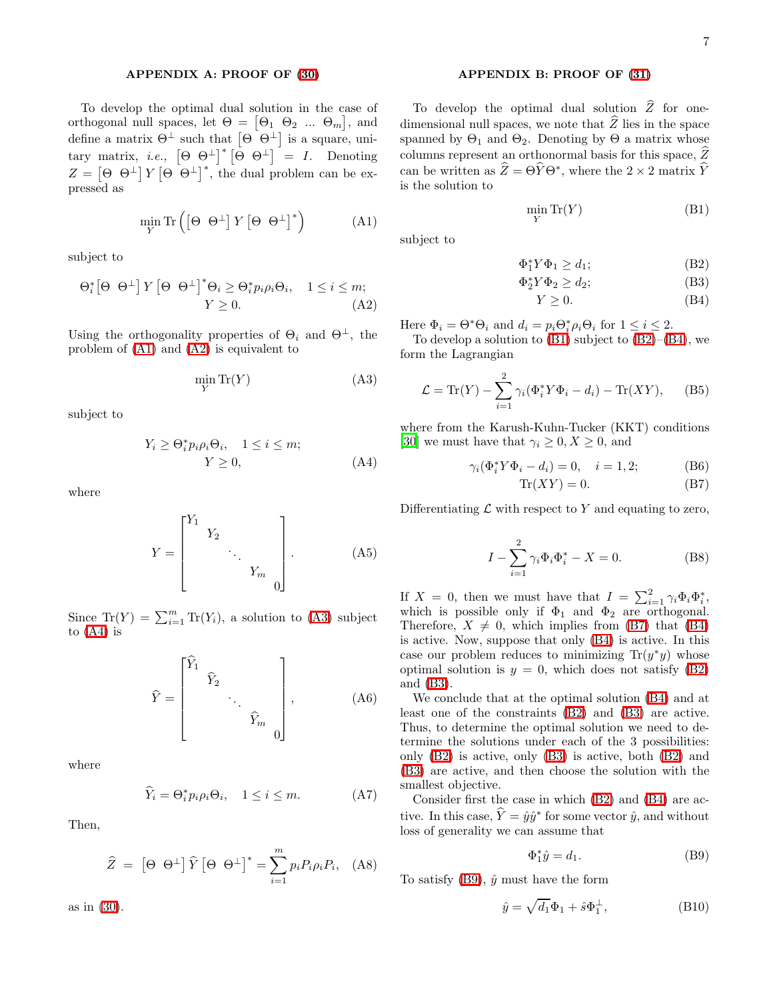# APPENDIX A: PROOF OF [\(30\)](#page-3-3)

<span id="page-6-2"></span><span id="page-6-0"></span>To develop the optimal dual solution in the case of orthogonal null spaces, let  $\Theta = [\Theta_1 \ \Theta_2 \ ... \ \Theta_m],$  and define a matrix  $\Theta^{\perp}$  such that  $\left[\Theta^{\ulcorner} \Theta^{\perp}\right]$  is a square, unitary matrix, *i.e.*,  $[\Theta \Theta^{\perp}]^* [\Theta \Theta^{\perp}] = I$ . Denoting  $Z = \left[\Theta \Theta^{\perp}\right] Y \left[\Theta \Theta^{\perp}\right]^*$ , the dual problem can be expressed as

$$
\min_{Y} \text{Tr}\left(\begin{bmatrix} \Theta & \Theta^{\perp} \end{bmatrix} Y \begin{bmatrix} \Theta & \Theta^{\perp} \end{bmatrix}^* \right) \tag{A1}
$$

<span id="page-6-3"></span>subject to

$$
\Theta_i^* \left[\Theta \Theta^\perp\right] Y \left[\Theta \Theta^\perp\right]^* \Theta_i \ge \Theta_i^* p_i \rho_i \Theta_i, \quad 1 \le i \le m; \\
Y \ge 0. \tag{A2}
$$

Using the orthogonality properties of  $\Theta_i$  and  $\Theta^{\perp}$ , the problem of [\(A1\)](#page-6-2) and [\(A2\)](#page-6-3) is equivalent to

<span id="page-6-4"></span>
$$
\min_{Y} \text{Tr}(Y) \tag{A3}
$$

<span id="page-6-5"></span>subject to

$$
Y_i \ge \Theta_i^* p_i \rho_i \Theta_i, \quad 1 \le i \le m; Y \ge 0,
$$
 (A4)

where

$$
Y = \begin{bmatrix} Y_1 & & & \\ & Y_2 & & \\ & & \ddots & \\ & & & Y_m & \\ & & & & 0 \end{bmatrix} .
$$
 (A5)

Since  $\text{Tr}(Y) = \sum_{i=1}^{m} \text{Tr}(Y_i)$ , a solution to [\(A3\)](#page-6-4) subject to  $(A4)$  is

$$
\widehat{Y} = \begin{bmatrix} \widehat{Y}_1 & & & \\ & \widehat{Y}_2 & & \\ & & \ddots & \\ & & & \widehat{Y}_m & \\ & & & & 0 \end{bmatrix}, \tag{A6}
$$

where

$$
\widehat{Y}_i = \Theta_i^* p_i \rho_i \Theta_i, \quad 1 \le i \le m. \tag{A7}
$$

Then,

$$
\widehat{Z} = \left[ \Theta \Theta^{\perp} \right] \widehat{Y} \left[ \Theta \Theta^{\perp} \right]^* = \sum_{i=1}^{m} p_i P_i \rho_i P_i, \quad \text{(A8)}
$$

as in [\(30\)](#page-3-3).

## APPENDIX B: PROOF OF [\(31\)](#page-3-5)

<span id="page-6-6"></span><span id="page-6-1"></span>To develop the optimal dual solution  $\hat{Z}$  for onedimensional null spaces, we note that  $\widehat{Z}$  lies in the space spanned by  $\Theta_1$  and  $\Theta_2$ . Denoting by  $\Theta$  a matrix whose columns represent an orthonormal basis for this space,  $\hat{Z}$ can be written as  $\hat{Z} = \Theta \hat{Y} \Theta^*$ , where the 2 × 2 matrix  $\hat{Y}$ is the solution to

$$
\min_{Y} \text{Tr}(Y) \tag{B1}
$$

<span id="page-6-7"></span>subject to

$$
\Phi_1^* Y \Phi_1 \ge d_1; \tag{B2}
$$

$$
\Phi_2^* Y \Phi_2 \ge d_2; \tag{B3}
$$

$$
Y \ge 0. \tag{B4}
$$

Here  $\Phi_i = \Theta^* \Theta_i$  and  $d_i = p_i \Theta_i^* \rho_i \Theta_i$  for  $1 \leq i \leq 2$ .

To develop a solution to  $(B1)$  subject to  $(B2)$ – $(B4)$ , we form the Lagrangian

$$
\mathcal{L} = \text{Tr}(Y) - \sum_{i=1}^{2} \gamma_i (\Phi_i^* Y \Phi_i - d_i) - \text{Tr}(XY), \quad (B5)
$$

<span id="page-6-8"></span>where from the Karush-Kuhn-Tucker (KKT) conditions [\[30\]](#page-8-28) we must have that  $\gamma_i \geq 0, X \geq 0$ , and

$$
\gamma_i(\Phi_i^* Y \Phi_i - d_i) = 0, \quad i = 1, 2; \tag{B6}
$$

$$
\text{Tr}(XY) = 0. \tag{B7}
$$

Differentiating  $\mathcal L$  with respect to Y and equating to zero,

$$
I - \sum_{i=1}^{2} \gamma_i \Phi_i \Phi_i^* - X = 0.
$$
 (B8)

If  $X = 0$ , then we must have that  $I = \sum_{i=1}^{2} \gamma_i \Phi_i \Phi_i^*$ , which is possible only if  $\Phi_1$  and  $\Phi_2$  are orthogonal. Therefore,  $X \neq 0$ , which implies from [\(B7\)](#page-6-8) that [\(B4\)](#page-6-7) is active. Now, suppose that only [\(B4\)](#page-6-7) is active. In this case our problem reduces to minimizing  $Tr(y^*y)$  whose optimal solution is  $y = 0$ , which does not satisfy [\(B2\)](#page-6-7) and [\(B3\)](#page-6-7).

We conclude that at the optimal solution [\(B4\)](#page-6-7) and at least one of the constraints [\(B2\)](#page-6-7) and [\(B3\)](#page-6-7) are active. Thus, to determine the optimal solution we need to determine the solutions under each of the 3 possibilities: only [\(B2\)](#page-6-7) is active, only [\(B3\)](#page-6-7) is active, both [\(B2\)](#page-6-7) and [\(B3\)](#page-6-7) are active, and then choose the solution with the smallest objective.

Consider first the case in which [\(B2\)](#page-6-7) and [\(B4\)](#page-6-7) are active. In this case,  $\hat{Y} = \hat{y}\hat{y}^*$  for some vector  $\hat{y}$ , and without loss of generality we can assume that

<span id="page-6-9"></span>
$$
\Phi_1^*\hat{y} = d_1. \tag{B9}
$$

To satisfy  $(B9)$ ,  $\hat{y}$  must have the form

$$
\hat{y} = \sqrt{d_1} \Phi_1 + \hat{s} \Phi_1^{\perp},\tag{B10}
$$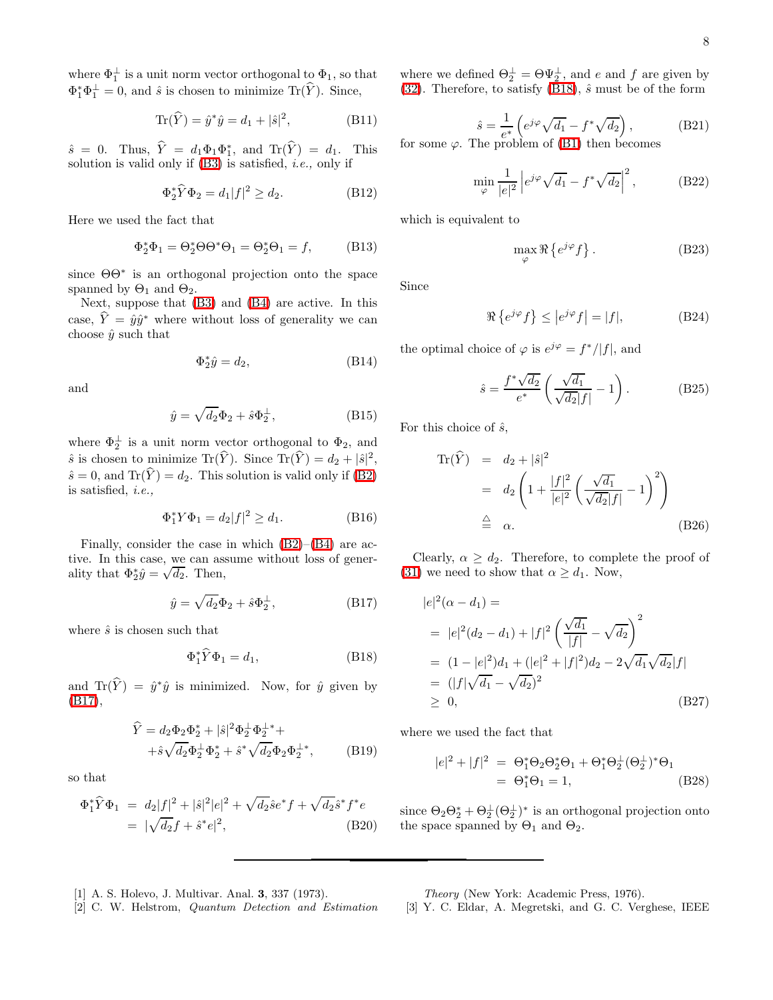where  $\Phi_1^{\perp}$  is a unit norm vector orthogonal to  $\Phi_1$ , so that  $\Phi_1^* \Phi_1^{\perp} = 0$ , and  $\hat{s}$  is chosen to minimize Tr( $\hat{Y}$ ). Since,

$$
\text{Tr}(\hat{Y}) = \hat{y}^* \hat{y} = d_1 + |\hat{s}|^2, \tag{B11}
$$

 $\hat{s} = 0$ . Thus,  $\hat{Y} = d_1\Phi_1\Phi_1^*$ , and  $\text{Tr}(\hat{Y}) = d_1$ . This solution is valid only if  $(B3)$  is satisfied, *i.e.*, only if

$$
\Phi_2^* \widehat{Y} \Phi_2 = d_1 |f|^2 \ge d_2. \tag{B12}
$$

Here we used the fact that

$$
\Phi_2^* \Phi_1 = \Theta_2^* \Theta \Theta^* \Theta_1 = \Theta_2^* \Theta_1 = f,\tag{B13}
$$

since ΘΘ<sup>∗</sup> is an orthogonal projection onto the space spanned by  $\Theta_1$  and  $\Theta_2$ .

Next, suppose that [\(B3\)](#page-6-7) and [\(B4\)](#page-6-7) are active. In this case,  $\hat{Y} = \hat{y}\hat{y}^*$  where without loss of generality we can choose  $\hat{y}$  such that

$$
\Phi_2^* \hat{y} = d_2,\tag{B14}
$$

and

$$
\hat{y} = \sqrt{d_2} \Phi_2 + \hat{s} \Phi_2^{\perp},\tag{B15}
$$

where  $\Phi_2^{\perp}$  is a unit norm vector orthogonal to  $\Phi_2$ , and  $\hat{s}$  is chosen to minimize Tr( $\hat{Y}$ ). Since Tr( $\hat{Y}$ ) =  $d_2 + |\hat{s}|^2$ ,  $\hat{s} = 0$ , and Tr( $\hat{Y}$ ) = d<sub>2</sub>. This solution is valid only if [\(B2\)](#page-6-7) is satisfied, i.e.,

<span id="page-7-3"></span>
$$
\Phi_1^* Y \Phi_1 = d_2 |f|^2 \ge d_1. \tag{B16}
$$

Finally, consider the case in which [\(B2\)](#page-6-7)–[\(B4\)](#page-6-7) are active. In this case, we can assume without loss of generality that  $\Phi_2^* \hat{y} = \sqrt{d_2}$ . Then,

<span id="page-7-4"></span>
$$
\hat{y} = \sqrt{d_2} \Phi_2 + \hat{s} \Phi_2^{\perp},\tag{B17}
$$

where  $\hat{s}$  is chosen such that

$$
\Phi_1^* \widehat{Y} \Phi_1 = d_1,\tag{B18}
$$

and  $Tr(\hat{Y}) = \hat{y}^*\hat{y}$  is minimized. Now, for  $\hat{y}$  given by [\(B17\)](#page-7-3),

$$
\hat{Y} = d_2 \Phi_2 \Phi_2^* + |\hat{s}|^2 \Phi_2^{\perp} \Phi_2^{\perp} + \n+ \hat{s} \sqrt{d_2} \Phi_2^{\perp} \Phi_2^* + \hat{s}^* \sqrt{d_2} \Phi_2 \Phi_2^{\perp *},
$$
\n(B19)

so that

$$
\Phi_1^* \hat{Y} \Phi_1 = d_2 |f|^2 + |\hat{s}|^2 |e|^2 + \sqrt{d_2} \hat{s} e^* f + \sqrt{d_2} \hat{s}^* f^* e
$$
  
=  $|\sqrt{d_2} f + \hat{s}^* e|^2$ , (B20)

where we defined  $\Theta_2^{\perp} = \Theta \Psi_2^{\perp}$ , and e and f are given by [\(32\)](#page-3-8). Therefore, to satisfy [\(B18\)](#page-7-4),  $\hat{s}$  must be of the form

$$
\hat{s} = \frac{1}{e^*} \left( e^{j\varphi} \sqrt{d_1} - f^* \sqrt{d_2} \right),
$$
\nfor some  $\varphi$ . The problem of (B1) then becomes

\n
$$
\hat{s} = \frac{1}{e^*} \left( e^{j\varphi} \sqrt{d_1} - f^* \sqrt{d_2} \right),
$$

$$
\min_{\varphi} \frac{1}{|e|^2} \left| e^{j\varphi} \sqrt{d_1} - f^* \sqrt{d_2} \right|^2, \tag{B22}
$$

which is equivalent to

$$
\max_{\varphi} \Re \left\{ e^{j\varphi} f \right\}.
$$
 (B23)

Since

$$
\Re\left\{e^{j\varphi}f\right\} \le |e^{j\varphi}f| = |f|,\tag{B24}
$$

the optimal choice of  $\varphi$  is  $e^{j\varphi} = f^*/|f|$ , and

$$
\hat{s} = \frac{f^* \sqrt{d_2}}{e^*} \left( \frac{\sqrt{d_1}}{\sqrt{d_2} |f|} - 1 \right). \tag{B25}
$$

For this choice of  $\hat{s}$ ,

$$
\operatorname{Tr}(\widehat{Y}) = d_2 + |\widehat{s}|^2
$$
  
=  $d_2 \left( 1 + \frac{|f|^2}{|e|^2} \left( \frac{\sqrt{d_1}}{\sqrt{d_2}|f|} - 1 \right)^2 \right)$   
 $\stackrel{\triangle}{=} \alpha.$  (B26)

Clearly,  $\alpha \geq d_2$ . Therefore, to complete the proof of [\(31\)](#page-3-5) we need to show that  $\alpha \geq d_1$ . Now,

$$
|e|^2(\alpha - d_1) =
$$
  
=  $|e|^2(d_2 - d_1) + |f|^2 \left(\frac{\sqrt{d_1}}{|f|} - \sqrt{d_2}\right)^2$   
=  $(1 - |e|^2)d_1 + (|e|^2 + |f|^2)d_2 - 2\sqrt{d_1}\sqrt{d_2}|f|$   
=  $(|f|\sqrt{d_1} - \sqrt{d_2})^2$   
 $\geq 0,$  (B27)

where we used the fact that

$$
|e|^2 + |f|^2 = \Theta_1^* \Theta_2 \Theta_2^* \Theta_1 + \Theta_1^* \Theta_2^{\perp} (\Theta_2^{\perp})^* \Theta_1
$$
  
=  $\Theta_1^* \Theta_1 = 1$ , (B28)

since  $\Theta_2 \Theta_2^* + \Theta_2^{\perp} (\Theta_2^{\perp})^*$  is an orthogonal projection onto the space spanned by  $\Theta_1$  and  $\Theta_2$ .

- <span id="page-7-0"></span>[1] A. S. Holevo, J. Multivar. Anal. 3, 337 (1973).
- <span id="page-7-1"></span>[2] C. W. Helstrom, Quantum Detection and Estimation

Theory (New York: Academic Press, 1976).

<span id="page-7-2"></span>[3] Y. C. Eldar, A. Megretski, and G. C. Verghese, IEEE